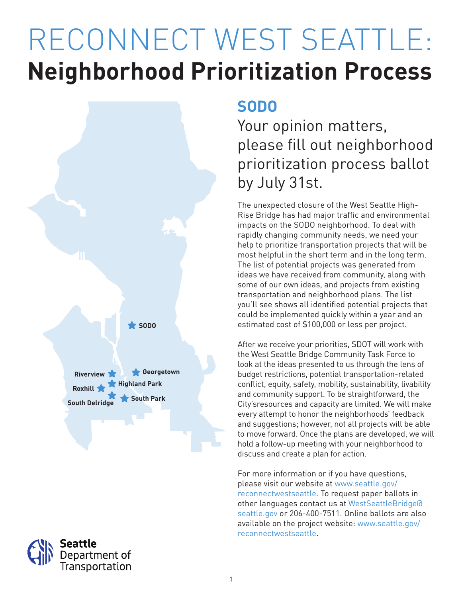# RECONNECT WEST SEATTLE: **Neighborhood Prioritization Process**





### **SODO**

### Your opinion matters, please fill out neighborhood prioritization process ballot by July 31st.

The unexpected closure of the West Seattle High-Rise Bridge has had major traffic and environmental impacts on the SODO neighborhood. To deal with rapidly changing community needs, we need your help to prioritize transportation projects that will be most helpful in the short term and in the long term. The list of potential projects was generated from ideas we have received from community, along with some of our own ideas, and projects from existing transportation and neighborhood plans. The list you'll see shows all identified potential projects that could be implemented quickly within a year and an estimated cost of \$100,000 or less per project.

After we receive your priorities, SDOT will work with the West Seattle Bridge Community Task Force to look at the ideas presented to us through the lens of budget restrictions, potential transportation-related conflict, equity, safety, mobility, sustainability, livability and community support. To be straightforward, the City'sresources and capacity are limited. We will make every attempt to honor the neighborhoods' feedback and suggestions; however, not all projects will be able to move forward. Once the plans are developed, we will hold a follow-up meeting with your neighborhood to discuss and create a plan for action.

For more information or if you have questions, please visit our website at www.seattle.gov/ reconnectwestseattle. To request paper ballots in other languages contact us at WestSeattleBridge@ seattle.gov or 206-400-7511. Online ballots are also available on the project website: www.seattle.gov/ reconnectwestseattle.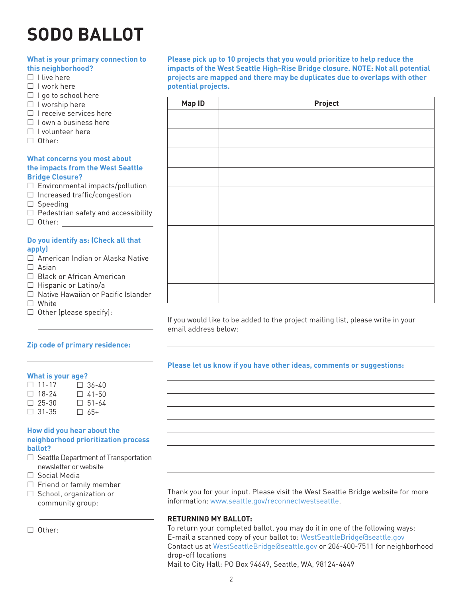## **SODO BALLOT**

#### **What is your primary connection to this neighborhood?**  $\Box$  I live here  $\Box$  I work here  $\Box$  I go to school here  $\Box$  I worship here  $\Box$  I receive services here  $\Box$  I own a business here  $\Box$  I volunteer here □ Other: \_\_\_\_\_\_ **What concerns you most about the impacts from the West Seattle Bridge Closure?**  $\square$  Environmental impacts/pollution  $\Box$  Increased traffic/congestion  $\square$  Speeding  $\Box$  Pedestrian safety and accessibility □ Other: <u>2000 - 2000 - 2000 - 2000 - 2000 - 2000 - 2000 - 2000</u> - 2000 - 2000 - 2000 - 2000 - 2000 - 2000 - 2000 - 2000 - 2000 - 2000 - 2000 - 2000 - 2000 - 2000 - 2000 - 2000 - 2000 - 2000 - 2000 - 2000 - 2000 - 2000 -

#### **Do you identify as: (Check all that apply)**

- □ American Indian or Alaska Native  $\Box$  Asian
- □ Black or African American
- $\Box$  Hispanic or Latino/a
- □ Native Hawaiian or Pacific Islander
- □ White
- $\Box$  Other (please specify):

#### **Zip code of primary residence:**

#### **What is your age?**

| $\Box$ 11-17 | $\Box$ 36-40 |
|--------------|--------------|
| $\Box$ 18-24 | $\Box$ 41-50 |
| $\Box$ 25-30 | $\Box$ 51-64 |
| $\Box$ 31-35 | $\Box$ 65+   |

#### **How did you hear about the neighborhood prioritization process ballot?**

- $\Box$  Seattle Department of Transportation newsletter or website
- Social Media
- $\Box$  Friend or family member
- $\Box$  School, organization or community group:

□ Other: \_

**Please pick up to 10 projects that you would prioritize to help reduce the impacts of the West Seattle High-Rise Bridge closure. NOTE: Not all potential projects are mapped and there may be duplicates due to overlaps with other potential projects.**

| Map ID | Project |
|--------|---------|
|        |         |
|        |         |
|        |         |
|        |         |
|        |         |
|        |         |
|        |         |
|        |         |
|        |         |
|        |         |

If you would like to be added to the project mailing list, please write in your email address below:

#### **Please let us know if you have other ideas, comments or suggestions:**

Thank you for your input. Please visit the West Seattle Bridge website for more information: www.seattle.gov/reconnectwestseattle.

#### **RETURNING MY BALLOT:**

To return your completed ballot, you may do it in one of the following ways: E-mail a scanned copy of your ballot to: WestSeattleBridge@seattle.gov Contact us at WestSeattleBridge@seattle.gov or 206-400-7511 for neighborhood drop-off locations

Mail to City Hall: PO Box 94649, Seattle, WA, 98124-4649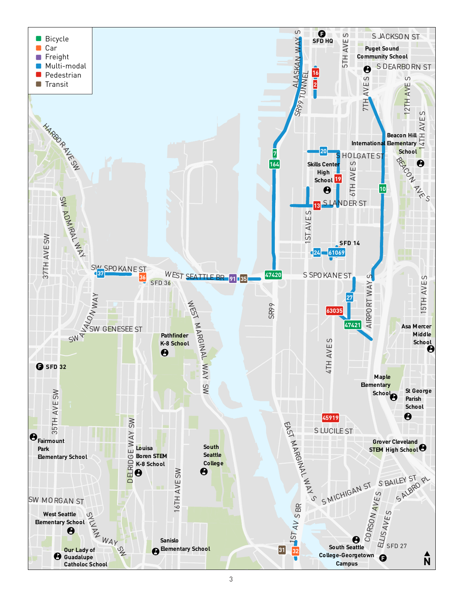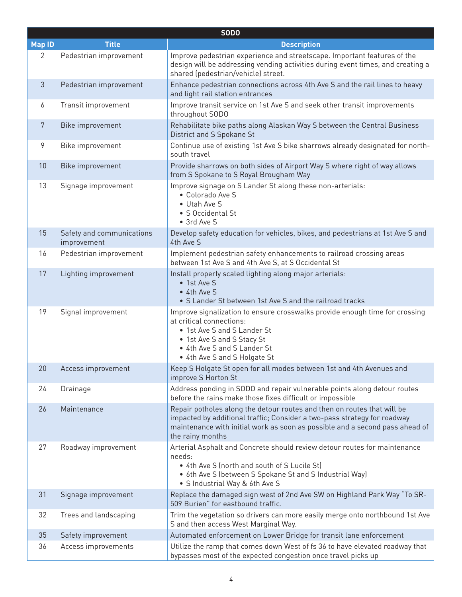|                | <b>SODO</b>                              |                                                                                                                                                                                                                                                         |  |
|----------------|------------------------------------------|---------------------------------------------------------------------------------------------------------------------------------------------------------------------------------------------------------------------------------------------------------|--|
| <b>Map ID</b>  | <b>Title</b>                             | <b>Description</b>                                                                                                                                                                                                                                      |  |
| 2              | Pedestrian improvement                   | Improve pedestrian experience and streetscape. Important features of the<br>design will be addressing vending activities during event times, and creating a<br>shared (pedestrian/vehicle) street.                                                      |  |
| 3              | Pedestrian improvement                   | Enhance pedestrian connections across 4th Ave S and the rail lines to heavy<br>and light rail station entrances                                                                                                                                         |  |
| 6              | Transit improvement                      | Improve transit service on 1st Ave S and seek other transit improvements<br>throughout SODO                                                                                                                                                             |  |
| $7\phantom{.}$ | Bike improvement                         | Rehabilitate bike paths along Alaskan Way S between the Central Business<br>District and S Spokane St                                                                                                                                                   |  |
| 9              | Bike improvement                         | Continue use of existing 1st Ave S bike sharrows already designated for north-<br>south travel                                                                                                                                                          |  |
| 10             | Bike improvement                         | Provide sharrows on both sides of Airport Way S where right of way allows<br>from S Spokane to S Royal Brougham Way                                                                                                                                     |  |
| 13             | Signage improvement                      | Improve signage on S Lander St along these non-arterials:<br>• Colorado Ave S<br>• Utah Ave S<br>• S Occidental St<br>• 3rd Ave S                                                                                                                       |  |
| 15             | Safety and communications<br>improvement | Develop safety education for vehicles, bikes, and pedestrians at 1st Ave S and<br>4th Ave S                                                                                                                                                             |  |
| 16             | Pedestrian improvement                   | Implement pedestrian safety enhancements to railroad crossing areas<br>between 1st Ave S and 4th Ave S, at S Occidental St                                                                                                                              |  |
| 17             | Lighting improvement                     | Install properly scaled lighting along major arterials:<br>• 1st Ave S<br>• 4th Ave S<br>• S Lander St between 1st Ave S and the railroad tracks                                                                                                        |  |
| 19             | Signal improvement                       | Improve signalization to ensure crosswalks provide enough time for crossing<br>at critical connections:<br>• 1st Ave S and S Lander St<br>• 1st Ave S and S Stacy St<br>• 4th Ave S and S Lander St<br>• 4th Ave S and S Holgate St                     |  |
| 20             | Access improvement                       | Keep S Holgate St open for all modes between 1st and 4th Avenues and<br>improve S Horton St                                                                                                                                                             |  |
| 24             | Drainage                                 | Address ponding in SODO and repair vulnerable points along detour routes<br>before the rains make those fixes difficult or impossible                                                                                                                   |  |
| 26             | Maintenance                              | Repair potholes along the detour routes and then on routes that will be<br>impacted by additional traffic; Consider a two-pass strategy for roadway<br>maintenance with initial work as soon as possible and a second pass ahead of<br>the rainy months |  |
| 27             | Roadway improvement                      | Arterial Asphalt and Concrete should review detour routes for maintenance<br>needs:<br>• 4th Ave S (north and south of S Lucile St)<br>• 6th Ave S (between S Spokane St and S Industrial Way)<br>• S Industrial Way & 6th Ave S                        |  |
| 31             | Signage improvement                      | Replace the damaged sign west of 2nd Ave SW on Highland Park Way "To SR-<br>509 Burien" for eastbound traffic.                                                                                                                                          |  |
| 32             | Trees and landscaping                    | Trim the vegetation so drivers can more easily merge onto northbound 1st Ave<br>S and then access West Marginal Way.                                                                                                                                    |  |
| 35             | Safety improvement                       | Automated enforcement on Lower Bridge for transit lane enforcement                                                                                                                                                                                      |  |
| 36             | Access improvements                      | Utilize the ramp that comes down West of fs 36 to have elevated roadway that<br>bypasses most of the expected congestion once travel picks up                                                                                                           |  |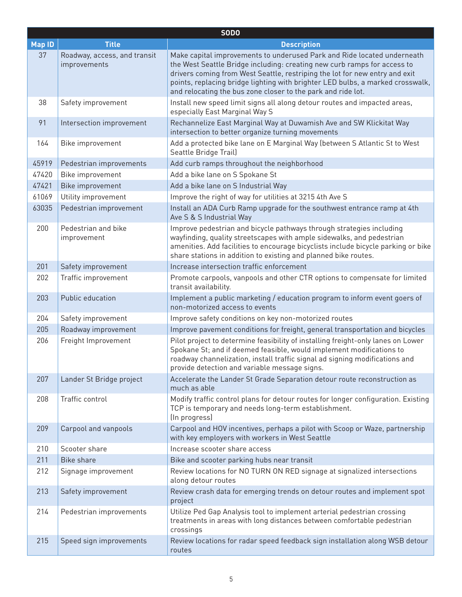| SODO          |                                              |                                                                                                                                                                                                                                                                                                                                                                                      |
|---------------|----------------------------------------------|--------------------------------------------------------------------------------------------------------------------------------------------------------------------------------------------------------------------------------------------------------------------------------------------------------------------------------------------------------------------------------------|
| <b>Map ID</b> | <b>Title</b>                                 | <b>Description</b>                                                                                                                                                                                                                                                                                                                                                                   |
| 37            | Roadway, access, and transit<br>improvements | Make capital improvements to underused Park and Ride located underneath<br>the West Seattle Bridge including: creating new curb ramps for access to<br>drivers coming from West Seattle, restriping the lot for new entry and exit<br>points, replacing bridge lighting with brighter LED bulbs, a marked crosswalk,<br>and relocating the bus zone closer to the park and ride lot. |
| 38            | Safety improvement                           | Install new speed limit signs all along detour routes and impacted areas,<br>especially East Marginal Way S                                                                                                                                                                                                                                                                          |
| 91            | Intersection improvement                     | Rechannelize East Marginal Way at Duwamish Ave and SW Klickitat Way<br>intersection to better organize turning movements                                                                                                                                                                                                                                                             |
| 164           | Bike improvement                             | Add a protected bike lane on E Marginal Way (between S Atlantic St to West<br>Seattle Bridge Trail)                                                                                                                                                                                                                                                                                  |
| 45919         | Pedestrian improvements                      | Add curb ramps throughout the neighborhood                                                                                                                                                                                                                                                                                                                                           |
| 47420         | Bike improvement                             | Add a bike lane on S Spokane St                                                                                                                                                                                                                                                                                                                                                      |
| 47421         | Bike improvement                             | Add a bike lane on S Industrial Way                                                                                                                                                                                                                                                                                                                                                  |
| 61069         | Utility improvement                          | Improve the right of way for utilities at 3215 4th Ave S                                                                                                                                                                                                                                                                                                                             |
| 63035         | Pedestrian improvement                       | Install an ADA Curb Ramp upgrade for the southwest entrance ramp at 4th<br>Ave S & S Industrial Way                                                                                                                                                                                                                                                                                  |
| 200           | Pedestrian and bike<br>improvement           | Improve pedestrian and bicycle pathways through strategies including<br>wayfinding, quality streetscapes with ample sidewalks, and pedestrian<br>amenities. Add facilities to encourage bicyclists include bicycle parking or bike<br>share stations in addition to existing and planned bike routes.                                                                                |
| 201           | Safety improvement                           | Increase intersection traffic enforcement                                                                                                                                                                                                                                                                                                                                            |
| 202           | Traffic improvement                          | Promote carpools, vanpools and other CTR options to compensate for limited<br>transit availability.                                                                                                                                                                                                                                                                                  |
| 203           | Public education                             | Implement a public marketing / education program to inform event goers of<br>non-motorized access to events                                                                                                                                                                                                                                                                          |
| 204           | Safety improvement                           | Improve safety conditions on key non-motorized routes                                                                                                                                                                                                                                                                                                                                |
| 205           | Roadway improvement                          | Improve pavement conditions for freight, general transportation and bicycles                                                                                                                                                                                                                                                                                                         |
| 206           | Freight Improvement                          | Pilot project to determine feasibility of installing freight-only lanes on Lower<br>Spokane St; and if deemed feasible, would implement modifications to<br>roadway channelization, install traffic signal ad signing modifications and<br>provide detection and variable message signs.                                                                                             |
| 207           | Lander St Bridge project                     | Accelerate the Lander St Grade Separation detour route reconstruction as<br>much as able                                                                                                                                                                                                                                                                                             |
| 208           | Traffic control                              | Modify traffic control plans for detour routes for longer configuration. Existing<br>TCP is temporary and needs long-term establishment.<br>(In progress)                                                                                                                                                                                                                            |
| 209           | Carpool and vanpools                         | Carpool and HOV incentives, perhaps a pilot with Scoop or Waze, partnership<br>with key employers with workers in West Seattle                                                                                                                                                                                                                                                       |
| 210           | Scooter share                                | Increase scooter share access                                                                                                                                                                                                                                                                                                                                                        |
| 211           | <b>Bike share</b>                            | Bike and scooter parking hubs near transit                                                                                                                                                                                                                                                                                                                                           |
| 212           | Signage improvement                          | Review locations for NO TURN ON RED signage at signalized intersections<br>along detour routes                                                                                                                                                                                                                                                                                       |
| 213           | Safety improvement                           | Review crash data for emerging trends on detour routes and implement spot<br>project                                                                                                                                                                                                                                                                                                 |
| 214           | Pedestrian improvements                      | Utilize Ped Gap Analysis tool to implement arterial pedestrian crossing<br>treatments in areas with long distances between comfortable pedestrian<br>crossings                                                                                                                                                                                                                       |
| 215           | Speed sign improvements                      | Review locations for radar speed feedback sign installation along WSB detour<br>routes                                                                                                                                                                                                                                                                                               |